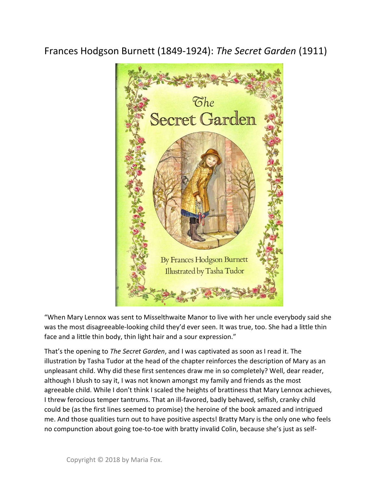## Frances Hodgson Burnett (1849-1924): The Secret Garden (1911)



"When Mary Lennox was sent to Misselthwaite Manor to live with her uncle everybody said she was the most disagreeable-looking child they'd ever seen. It was true, too. She had a little thin face and a little thin body, thin light hair and a sour expression."

That's the opening to The Secret Garden, and I was captivated as soon as I read it. The illustration by Tasha Tudor at the head of the chapter reinforces the description of Mary as an unpleasant child. Why did these first sentences draw me in so completely? Well, dear reader, although I blush to say it, I was not known amongst my family and friends as the most agreeable child. While I don't think I scaled the heights of brattiness that Mary Lennox achieves, I threw ferocious temper tantrums. That an ill-favored, badly behaved, selfish, cranky child could be (as the first lines seemed to promise) the heroine of the book amazed and intrigued me. And those qualities turn out to have positive aspects! Bratty Mary is the only one who feels no compunction about going toe-to-toe with bratty invalid Colin, because she's just as self